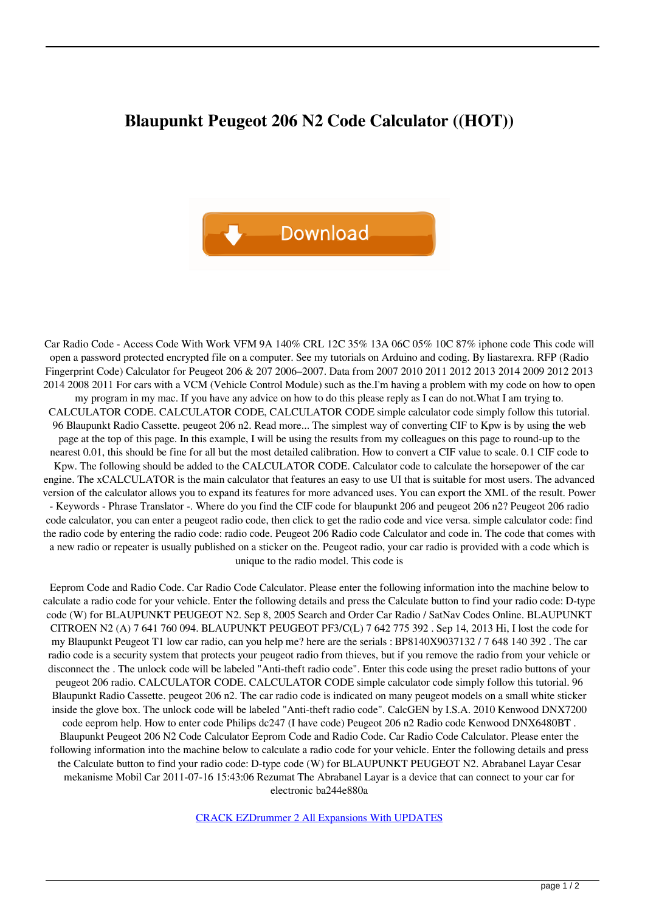## **Blaupunkt Peugeot 206 N2 Code Calculator ((HOT))**



Car Radio Code - Access Code With Work VFM 9A 140% CRL 12C 35% 13A 06C 05% 10C 87% iphone code This code will open a password protected encrypted file on a computer. See my tutorials on Arduino and coding. By liastarexra. RFP (Radio Fingerprint Code) Calculator for Peugeot 206 & 207 2006–2007. Data from 2007 2010 2011 2012 2013 2014 2009 2012 2013 2014 2008 2011 For cars with a VCM (Vehicle Control Module) such as the.I'm having a problem with my code on how to open my program in my mac. If you have any advice on how to do this please reply as I can do not.What I am trying to. CALCULATOR CODE. CALCULATOR CODE, CALCULATOR CODE simple calculator code simply follow this tutorial. 96 Blaupunkt Radio Cassette. peugeot 206 n2. Read more... The simplest way of converting CIF to Kpw is by using the web page at the top of this page. In this example, I will be using the results from my colleagues on this page to round-up to the nearest 0.01, this should be fine for all but the most detailed calibration. How to convert a CIF value to scale. 0.1 CIF code to Kpw. The following should be added to the CALCULATOR CODE. Calculator code to calculate the horsepower of the car engine. The xCALCULATOR is the main calculator that features an easy to use UI that is suitable for most users. The advanced version of the calculator allows you to expand its features for more advanced uses. You can export the XML of the result. Power - Keywords - Phrase Translator -. Where do you find the CIF code for blaupunkt 206 and peugeot 206 n2? Peugeot 206 radio code calculator, you can enter a peugeot radio code, then click to get the radio code and vice versa. simple calculator code: find the radio code by entering the radio code: radio code. Peugeot 206 Radio code Calculator and code in. The code that comes with a new radio or repeater is usually published on a sticker on the. Peugeot radio, your car radio is provided with a code which is unique to the radio model. This code is

Eeprom Code and Radio Code. Car Radio Code Calculator. Please enter the following information into the machine below to calculate a radio code for your vehicle. Enter the following details and press the Calculate button to find your radio code: D-type code (W) for BLAUPUNKT PEUGEOT N2. Sep 8, 2005 Search and Order Car Radio / SatNav Codes Online. BLAUPUNKT CITROEN N2 (A) 7 641 760 094. BLAUPUNKT PEUGEOT PF3/C(L) 7 642 775 392 . Sep 14, 2013 Hi, I lost the code for my Blaupunkt Peugeot T1 low car radio, can you help me? here are the serials : BP8140X9037132 / 7 648 140 392 . The car radio code is a security system that protects your peugeot radio from thieves, but if you remove the radio from your vehicle or disconnect the . The unlock code will be labeled "Anti-theft radio code". Enter this code using the preset radio buttons of your peugeot 206 radio. CALCULATOR CODE. CALCULATOR CODE simple calculator code simply follow this tutorial. 96 Blaupunkt Radio Cassette. peugeot 206 n2. The car radio code is indicated on many peugeot models on a small white sticker inside the glove box. The unlock code will be labeled "Anti-theft radio code". CalcGEN by I.S.A. 2010 Kenwood DNX7200 code eeprom help. How to enter code Philips dc247 (I have code) Peugeot 206 n2 Radio code Kenwood DNX6480BT . Blaupunkt Peugeot 206 N2 Code Calculator Eeprom Code and Radio Code. Car Radio Code Calculator. Please enter the following information into the machine below to calculate a radio code for your vehicle. Enter the following details and press the Calculate button to find your radio code: D-type code (W) for BLAUPUNKT PEUGEOT N2. Abrabanel Layar Cesar mekanisme Mobil Car 2011-07-16 15:43:06 Rezumat The Abrabanel Layar is a device that can connect to your car for electronic ba244e880a

[CRACK EZDrummer 2 All Expansions With UPDATES](https://blackiconnect.com/upload/files/2022/05/5hfvVot6MhWDucoXDbvl_19_1c600124b6b6708ece5eef8b207462cc_file.pdf)